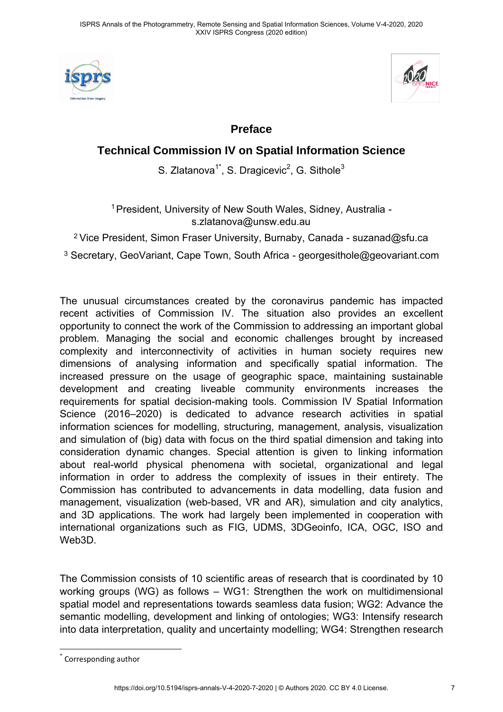



## **Preface**

## **Technical Commission IV on Spatial Information Science**

S. Zlatanova $1^*$ , S. Dragicevic $^2$ , G. Sithole $^3$ 

<sup>1</sup> President, University of New South Wales, Sidney, Australia s.zlatanova@unsw.edu.au

<sup>2</sup> Vice President, Simon Fraser University, Burnaby, Canada - suzanad@sfu.ca

 $^3$  Secretary, GeoVariant, Cape Town, South Africa - [georgesithole@geovariant.com](mailto:georgesithole@geovariant.com)

The unusual circumstances created by the coronavirus pandemic has impacted recent activities of Commission IV. The situation also provides an excellent opportunity to connect the work of the Commission to addressing an important global problem. Managing the social and economic challenges brought by increased complexity and interconnectivity of activities in human society requires new dimensions of analysing information and specifically spatial information. The increased pressure on the usage of geographic space, maintaining sustainable development and creating liveable community environments increases the requirements for spatial decision-making tools. Commission IV Spatial Information Science (2016–2020) is dedicated to advance research activities in spatial information sciences for modelling, structuring, management, analysis, visualization and simulation of (big) data with focus on the third spatial dimension and taking into consideration dynamic changes. Special attention is given to linking information about real-world physical phenomena with societal, organizational and legal information in order to address the complexity of issues in their entirety. The Commission has contributed to advancements in data modelling, data fusion and management, visualization (web-based, VR and AR), simulation and city analytics, and 3D applications. The work had largely been implemented in cooperation with international organizations such as FIG, UDMS, 3DGeoinfo, ICA, OGC, ISO and Web3D.

The Commission consists of 10 scientific areas of research that is coordinated by 10 working groups (WG) as follows – WG1: Strengthen the work on multidimensional spatial model and representations towards seamless data fusion; WG2: Advance the semantic modelling, development and linking of ontologies; WG3: Intensify research into data interpretation, quality and uncertainty modelling; WG4: Strengthen research

<sup>\*</sup> Corresponding author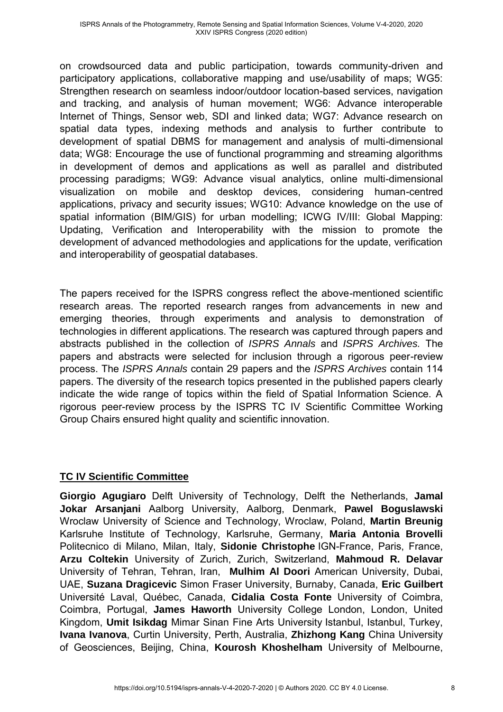on crowdsourced data and public participation, towards community-driven and participatory applications, collaborative mapping and use/usability of maps; WG5: Strengthen research on seamless indoor/outdoor location-based services, navigation and tracking, and analysis of human movement; WG6: Advance interoperable Internet of Things, Sensor web, SDI and linked data; WG7: Advance research on spatial data types, indexing methods and analysis to further contribute to development of spatial DBMS for management and analysis of multi-dimensional data; WG8: Encourage the use of functional programming and streaming algorithms in development of demos and applications as well as parallel and distributed processing paradigms; WG9: Advance visual analytics, online multi-dimensional visualization on mobile and desktop devices, considering human-centred applications, privacy and security issues; WG10: Advance knowledge on the use of spatial information (BIM/GIS) for urban modelling; ICWG IV/III: Global Mapping: Updating, Verification and Interoperability with the mission to promote the development of advanced methodologies and applications for the update, verification and interoperability of geospatial databases.

The papers received for the ISPRS congress reflect the above-mentioned scientific research areas. The reported research ranges from advancements in new and emerging theories, through experiments and analysis to demonstration of technologies in different applications. The research was captured through papers and abstracts published in the collection of *ISPRS Annals* and *ISPRS Archives.* The papers and abstracts were selected for inclusion through a rigorous peer-review process. The *ISPRS Annals* contain 29 papers and the *ISPRS Archives* contain 114 papers. The diversity of the research topics presented in the published papers clearly indicate the wide range of topics within the field of Spatial Information Science. A rigorous peer-review process by the ISPRS TC IV Scientific Committee Working Group Chairs ensured hight quality and scientific innovation.

## **TC IV Scientific Committee**

**Giorgio Agugiaro** Delft University of Technology, Delft the Netherlands, **Jamal Jokar Arsanjani** Aalborg University, Aalborg, Denmark, **Pawel Boguslawski** Wroclaw University of Science and Technology, Wroclaw, Poland, **Martin Breunig** Karlsruhe Institute of Technology, Karlsruhe, Germany, **Maria Antonia Brovelli** Politecnico di Milano, Milan, Italy, **Sidonie Christophe** IGN-France, Paris, France, **Arzu Coltekin** University of Zurich, Zurich, Switzerland, **Mahmoud R. Delavar** University of Tehran, Tehran, Iran, **Mulhim Al Doori** American University, Dubai, UAE, **Suzana Dragicevic** Simon Fraser University, Burnaby, Canada, **Eric Guilbert** Université Laval, Québec, Canada, **Cidalia Costa Fonte** University of Coimbra, Coimbra, Portugal, **James Haworth** University College London, London, United Kingdom, **Umit Isikdag** Mimar Sinan Fine Arts University Istanbul, Istanbul, Turkey, **Ivana Ivanova**, Curtin University, Perth, Australia, **Zhizhong Kang** China University of Geosciences, Beijing, China, **Kourosh Khoshelham** University of Melbourne,